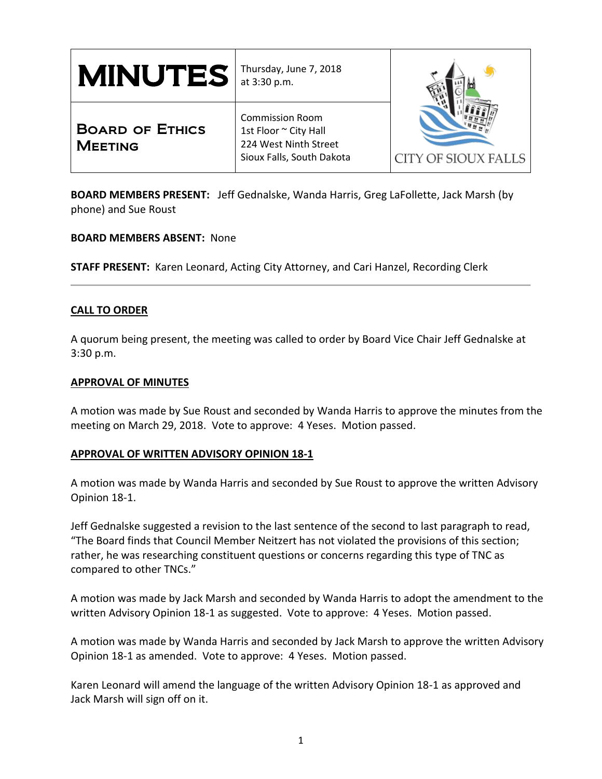| $\textbf{MINUTES}$ at 3:30 p.m.          | Thursday, June 7, 2018                                                                                |                     |
|------------------------------------------|-------------------------------------------------------------------------------------------------------|---------------------|
| <b>BOARD OF ETHICS</b><br><b>MEETING</b> | <b>Commission Room</b><br>1st Floor ~ City Hall<br>224 West Ninth Street<br>Sioux Falls, South Dakota | CITY OF SIOUX FALLS |

**BOARD MEMBERS PRESENT:** Jeff Gednalske, Wanda Harris, Greg LaFollette, Jack Marsh (by phone) and Sue Roust

**BOARD MEMBERS ABSENT:** None

**STAFF PRESENT:** Karen Leonard, Acting City Attorney, and Cari Hanzel, Recording Clerk

### **CALL TO ORDER**

A quorum being present, the meeting was called to order by Board Vice Chair Jeff Gednalske at 3:30 p.m.

### **APPROVAL OF MINUTES**

A motion was made by Sue Roust and seconded by Wanda Harris to approve the minutes from the meeting on March 29, 2018. Vote to approve: 4 Yeses. Motion passed.

### **APPROVAL OF WRITTEN ADVISORY OPINION 18-1**

A motion was made by Wanda Harris and seconded by Sue Roust to approve the written Advisory Opinion 18-1.

Jeff Gednalske suggested a revision to the last sentence of the second to last paragraph to read, "The Board finds that Council Member Neitzert has not violated the provisions of this section; rather, he was researching constituent questions or concerns regarding this type of TNC as compared to other TNCs."

A motion was made by Jack Marsh and seconded by Wanda Harris to adopt the amendment to the written Advisory Opinion 18-1 as suggested. Vote to approve: 4 Yeses. Motion passed.

A motion was made by Wanda Harris and seconded by Jack Marsh to approve the written Advisory Opinion 18-1 as amended. Vote to approve: 4 Yeses. Motion passed.

Karen Leonard will amend the language of the written Advisory Opinion 18-1 as approved and Jack Marsh will sign off on it.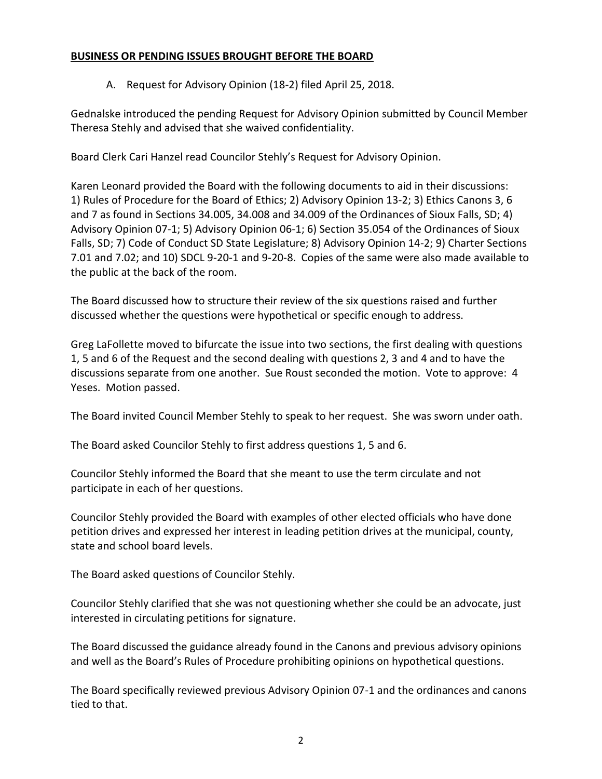# **BUSINESS OR PENDING ISSUES BROUGHT BEFORE THE BOARD**

A. Request for Advisory Opinion (18-2) filed April 25, 2018.

Gednalske introduced the pending Request for Advisory Opinion submitted by Council Member Theresa Stehly and advised that she waived confidentiality.

Board Clerk Cari Hanzel read Councilor Stehly's Request for Advisory Opinion.

Karen Leonard provided the Board with the following documents to aid in their discussions: 1) Rules of Procedure for the Board of Ethics; 2) Advisory Opinion 13-2; 3) Ethics Canons 3, 6 and 7 as found in Sections 34.005, 34.008 and 34.009 of the Ordinances of Sioux Falls, SD; 4) Advisory Opinion 07-1; 5) Advisory Opinion 06-1; 6) Section 35.054 of the Ordinances of Sioux Falls, SD; 7) Code of Conduct SD State Legislature; 8) Advisory Opinion 14-2; 9) Charter Sections 7.01 and 7.02; and 10) SDCL 9-20-1 and 9-20-8. Copies of the same were also made available to the public at the back of the room.

The Board discussed how to structure their review of the six questions raised and further discussed whether the questions were hypothetical or specific enough to address.

Greg LaFollette moved to bifurcate the issue into two sections, the first dealing with questions 1, 5 and 6 of the Request and the second dealing with questions 2, 3 and 4 and to have the discussions separate from one another. Sue Roust seconded the motion. Vote to approve: 4 Yeses. Motion passed.

The Board invited Council Member Stehly to speak to her request. She was sworn under oath.

The Board asked Councilor Stehly to first address questions 1, 5 and 6.

Councilor Stehly informed the Board that she meant to use the term circulate and not participate in each of her questions.

Councilor Stehly provided the Board with examples of other elected officials who have done petition drives and expressed her interest in leading petition drives at the municipal, county, state and school board levels.

The Board asked questions of Councilor Stehly.

Councilor Stehly clarified that she was not questioning whether she could be an advocate, just interested in circulating petitions for signature.

The Board discussed the guidance already found in the Canons and previous advisory opinions and well as the Board's Rules of Procedure prohibiting opinions on hypothetical questions.

The Board specifically reviewed previous Advisory Opinion 07-1 and the ordinances and canons tied to that.